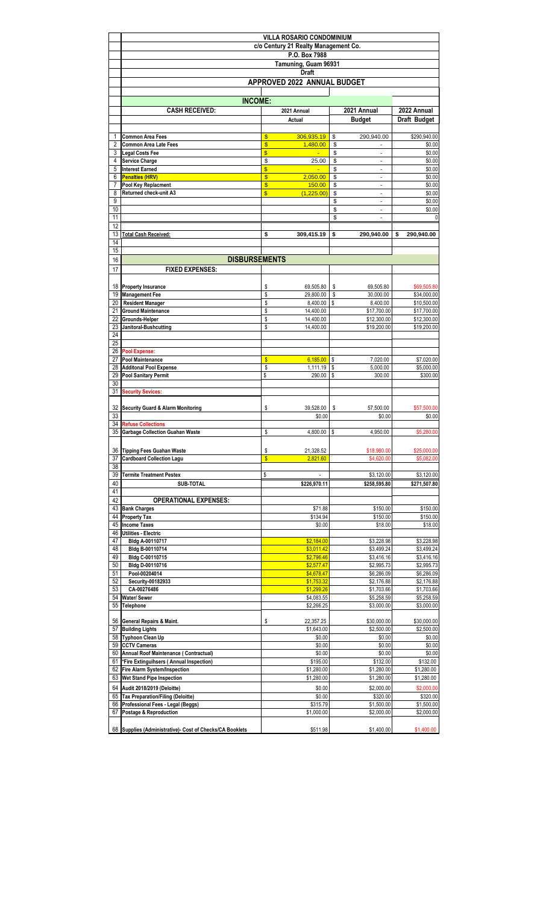|                       | <b>VILLA ROSARIO CONDOMINIUM</b>                                              |          |                             |          |                                  |                          |  |  |  |
|-----------------------|-------------------------------------------------------------------------------|----------|-----------------------------|----------|----------------------------------|--------------------------|--|--|--|
|                       | c/o Century 21 Realty Management Co.                                          |          |                             |          |                                  |                          |  |  |  |
|                       | P.O. Box 7988                                                                 |          |                             |          |                                  |                          |  |  |  |
|                       |                                                                               |          | Tamuning, Guam 96931        |          |                                  |                          |  |  |  |
|                       |                                                                               |          | Draft                       |          |                                  |                          |  |  |  |
|                       |                                                                               |          | APPROVED 2022 ANNUAL BUDGET |          |                                  |                          |  |  |  |
|                       |                                                                               |          |                             |          |                                  |                          |  |  |  |
|                       | <b>INCOME:</b>                                                                |          |                             |          |                                  |                          |  |  |  |
|                       | <b>CASH RECEIVED:</b>                                                         |          | 2021 Annual                 |          | 2021 Annual                      | 2022 Annual              |  |  |  |
|                       |                                                                               |          | Actual                      |          | <b>Budget</b>                    | Draft Budget             |  |  |  |
| 1                     | Common Area Fees                                                              | \$       | 306,935.19                  | \$       | 290,940.00                       | \$290,940.00             |  |  |  |
| 2                     | <b>Common Area Late Fees</b>                                                  | \$       | 1,480.00                    | \$       |                                  | \$0.00                   |  |  |  |
| 3                     | <b>Legal Costs Fee</b>                                                        | \$       |                             | \$       | $\frac{1}{2}$                    | \$0.00                   |  |  |  |
| 4                     | <b>Service Charge</b>                                                         | \$       | 25.00                       | \$       | $\overline{a}$                   | \$0.00                   |  |  |  |
| 5                     | <b>Interest Earned</b>                                                        | \$       |                             | \$       | $\blacksquare$                   | \$0.00                   |  |  |  |
| 6<br>7                | <b>Penalties (HRV)</b>                                                        | \$<br>\$ | 2,050.00<br>150.00          | \$<br>\$ | $\overline{a}$<br>$\blacksquare$ | \$0.00<br>\$0.00         |  |  |  |
| 8                     | Pool Key Replacment<br>Returned check-unit A3                                 | \$       | (1,225.00)                  | \$       | $\qquad \qquad \blacksquare$     | \$0.00                   |  |  |  |
| 9                     |                                                                               |          |                             | \$       | $\blacksquare$                   | \$0.00                   |  |  |  |
| 10                    |                                                                               |          |                             | \$       | $\overline{a}$                   | \$0.00                   |  |  |  |
| 11                    |                                                                               |          |                             | \$       | $\overline{a}$                   | n                        |  |  |  |
| 12                    |                                                                               |          |                             |          |                                  |                          |  |  |  |
| 13                    | <b>Total Cash Received:</b>                                                   | \$       | 309.415.19                  | \$       | 290,940.00                       | \$<br>290,940.00         |  |  |  |
| 14<br>15              |                                                                               |          |                             |          |                                  |                          |  |  |  |
| 16                    | <b>DISBURSEMENTS</b>                                                          |          |                             |          |                                  |                          |  |  |  |
| 17                    | <b>FIXED EXPENSES:</b>                                                        |          |                             |          |                                  |                          |  |  |  |
|                       |                                                                               |          |                             |          |                                  |                          |  |  |  |
| 18                    | <b>Property Insurance</b>                                                     | \$       | 69,505.80                   | \$       | 69,505.80                        | \$69,505.80              |  |  |  |
| 19                    | <b>Management Fee</b>                                                         | \$       | 29,800.00                   | \$       | 30,000.00                        | \$34,000.00              |  |  |  |
| 20                    | <b>Resident Manager</b>                                                       | \$       | 8,400.00                    | \$       | 8,400.00                         | \$10,500.00              |  |  |  |
| 21                    | <b>Ground Maintenance</b>                                                     | \$       | 14,400.00                   |          | \$17,700.00                      | \$17,700.00              |  |  |  |
| 22                    | Grounds-Helper                                                                | \$       | 14,400.00                   |          | \$12,300.00                      | \$12,300.00              |  |  |  |
| 23                    | Janitoral-Bushcutting                                                         | \$       | 14,400.00                   |          | \$19,200.00                      | \$19,200.00              |  |  |  |
| 24<br>$\overline{25}$ |                                                                               |          |                             |          |                                  |                          |  |  |  |
| 26                    | Pool Expense:                                                                 |          |                             |          |                                  |                          |  |  |  |
| 27                    | Pool Maintenance                                                              | \$       | $6,185.00$ \$               |          | 7,020.00                         | \$7,020.00               |  |  |  |
| 28                    | <b>Additonal Pool Expense</b>                                                 | \$       | 1,111.19                    | \$       | 5,000.00                         | \$5,000.00               |  |  |  |
| 29                    | <b>Pool Sanitary Permit</b>                                                   | \$       | 290.00                      | \$       | 300.00                           | \$300.00                 |  |  |  |
| 30                    |                                                                               |          |                             |          |                                  |                          |  |  |  |
| 31                    | <b>Security Sevices:</b>                                                      |          |                             |          |                                  |                          |  |  |  |
| 32                    | <b>Security Guard &amp; Alarm Monitoring</b>                                  | \$       | 39,528.00                   | S        | 57.500.00                        | \$57,500.00              |  |  |  |
| 33                    |                                                                               |          | \$0.00                      |          | \$0.00                           | \$0.00                   |  |  |  |
|                       | 34 Refuse Collections                                                         |          |                             |          |                                  |                          |  |  |  |
| 35                    | <b>Garbage Collection Guahan Waste</b>                                        | \$       | $4.800.00$ \$               |          | 4.950.00                         | \$5,280.00               |  |  |  |
|                       |                                                                               |          |                             |          |                                  |                          |  |  |  |
| 36                    | <b>Tipping Fees Guahan Waste</b>                                              | \$       | 21,328.52                   |          | \$18,980.00                      | \$25,000.00              |  |  |  |
| 37                    | <b>Cardboard Collection Lagu</b>                                              | \$       | 2,821.60                    |          | \$4,620.00                       | \$5,082.00               |  |  |  |
| 38                    |                                                                               |          |                             |          |                                  |                          |  |  |  |
| 39                    | <b>Termite Treatment Pestex</b>                                               | \$       |                             |          | \$3,120.00                       | \$3,120.00               |  |  |  |
| 40<br>41              | SUB-TOTAL                                                                     |          | \$226,970.11                |          | \$258,595.80                     | \$271,507.80             |  |  |  |
| 42                    | <b>OPERATIONAL EXPENSES:</b>                                                  |          |                             |          |                                  |                          |  |  |  |
| 43                    | <b>Bank Charges</b>                                                           |          | \$71.88                     |          | \$150.00                         | \$150.00                 |  |  |  |
| 44                    | <b>Property Tax</b>                                                           |          | \$134.94                    |          | \$150.00                         | \$150.00                 |  |  |  |
| 45                    | <b>Income Taxes</b>                                                           |          | \$0.00                      |          | \$18.00                          | \$18.00                  |  |  |  |
| 46                    | Utilities - Electric                                                          |          |                             |          |                                  |                          |  |  |  |
| 47<br>48              | Bldg A-00110717                                                               |          | \$2,184.00                  |          | \$3,228.98<br>\$3,499.24         | \$3,228.98               |  |  |  |
| 49                    | Bldg B-00110714<br>Bldg C-00110715                                            |          | \$3,011.42<br>\$2,796.46    |          | \$3,416.16                       | \$3,499.24<br>\$3,416.16 |  |  |  |
| 50                    | Bldg D-00110716                                                               |          | \$2,577.47                  |          | \$2,995.73                       | \$2,995.73               |  |  |  |
| 51                    | Pool-00204014                                                                 |          | \$4,678.47                  |          | \$6,286.09                       | \$6,286.09               |  |  |  |
| 52                    | Security-00182933                                                             |          | \$1,753.32                  |          | \$2,176.88                       | \$2,176.88               |  |  |  |
| 53                    | CA-00276486                                                                   |          | \$1,299.26                  |          | \$1,703.66                       | \$1,703.66               |  |  |  |
|                       | 54 Water/ Sewer                                                               |          | \$4,083.55                  |          | \$5,258.59                       | \$5,258.59               |  |  |  |
| 55                    | Telephone                                                                     |          | \$2,266.25                  |          | \$3,000.00                       | \$3,000.00               |  |  |  |
|                       | 56 General Repairs & Maint.                                                   | \$       | 22,357.25                   |          | \$30,000.00                      | \$30,000.00              |  |  |  |
|                       | 57 Building Lights                                                            |          | \$1,643.00                  |          | \$2,500.00                       | \$2,500.00               |  |  |  |
|                       | 58 Typhoon Clean Up                                                           |          | \$0.00                      |          | \$0.00                           | \$0.00                   |  |  |  |
|                       | 59 CCTV Cameras                                                               |          | \$0.00                      |          | \$0.00                           | \$0.00                   |  |  |  |
|                       | 60 Annual Roof Maintenance (Contractual)                                      |          | \$0.00                      |          | \$0.00                           | \$0.00                   |  |  |  |
|                       | 61 *Fire Extinguihsers (Annual Inspection)<br>62 Fire Alarm System/Inspection |          | \$195.00<br>\$1,280.00      |          | \$132.00<br>\$1,280.00           | \$132.00<br>\$1,280.00   |  |  |  |
|                       | 63 Wet Stand Pipe Inspection                                                  |          | \$1,280.00                  |          | \$1,280.00                       | \$1,280.00               |  |  |  |
|                       | 64 Audit 2018/2019 (Deloitte)                                                 |          | \$0.00                      |          | \$2,000.00                       | \$2,000.00               |  |  |  |
|                       | 65 Tax Preparation/Filing (Deloitte)                                          |          | \$0.00                      |          | \$320.00                         | \$320.00                 |  |  |  |
|                       | 66 Professional Fees - Legal (Beggs)                                          |          | \$315.79                    |          | \$1,500.00                       | \$1,500.00               |  |  |  |
| 67                    | <b>Postage &amp; Reproduction</b>                                             |          | \$1,000.00                  |          | \$2,000.00                       | \$2,000.00               |  |  |  |
|                       |                                                                               |          |                             |          |                                  |                          |  |  |  |
|                       | 68 Supplies (Administrative)- Cost of Checks/CA Booklets                      |          | \$511.98                    |          | \$1,400.00                       | \$1,400.00               |  |  |  |